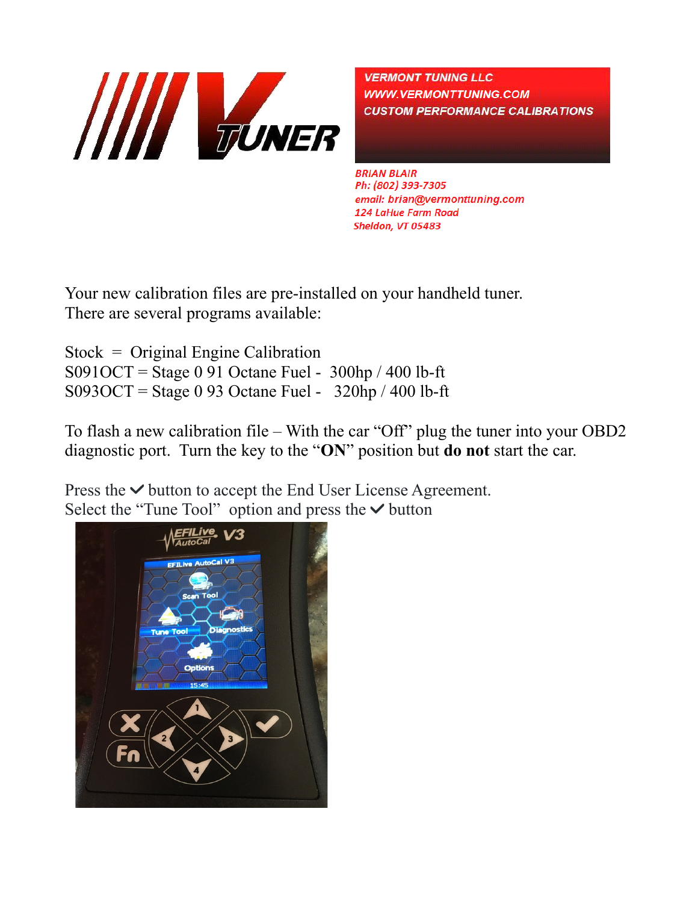

**VERMONT TUNING LLC WWW.VERMONTTUNING.COM CUSTOM PERFORMANCE CALIBRATIONS** 

**BRIAN BLAIR** Ph: (802) 393-7305 email: brian@vermonttuning.com **124 LaHue Farm Road** Sheldon, VT 05483

Your new calibration files are pre-installed on your handheld tuner. There are several programs available:

Stock = Original Engine Calibration  $S091OCT =$  Stage 0 91 Octane Fuel - 300hp / 400 lb-ft  $S093OCT =$  Stage 0 93 Octane Fuel - 320hp / 400 lb-ft

To flash a new calibration file – With the car "Off" plug the tuner into your OBD2 diagnostic port. Turn the key to the "**ON**" position but **do not** start the car.

Press the  $\vee$  button to accept the End User License Agreement. Select the "Tune Tool" option and press the  $\vee$  button

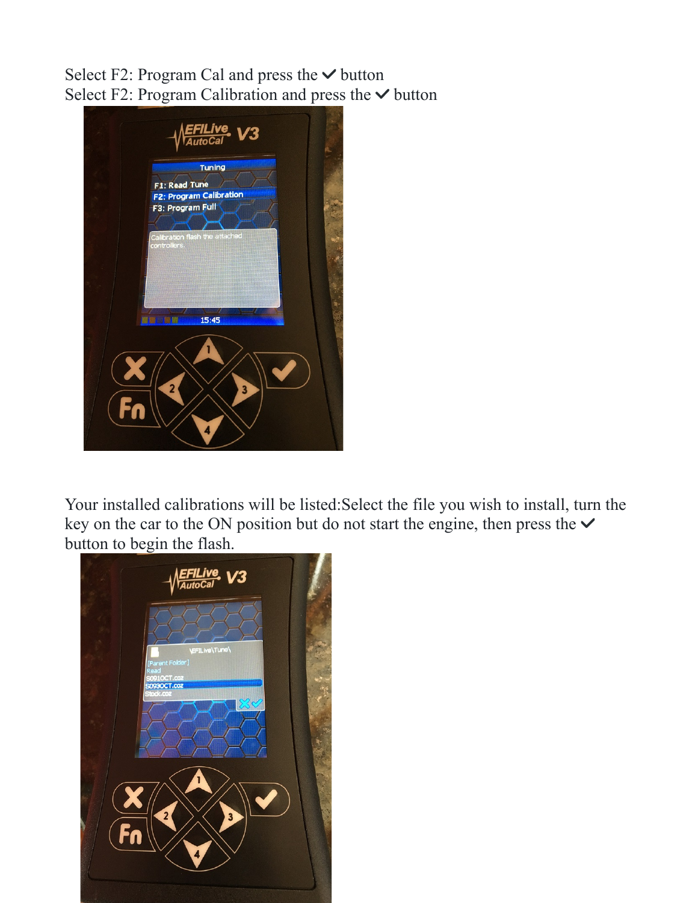Select F2: Program Cal and press the  $\vee$  button Select F2: Program Calibration and press the  $\vee$  button



Your installed calibrations will be listed:Select the file you wish to install, turn the key on the car to the ON position but do not start the engine, then press the  $\vee$ button to begin the flash.